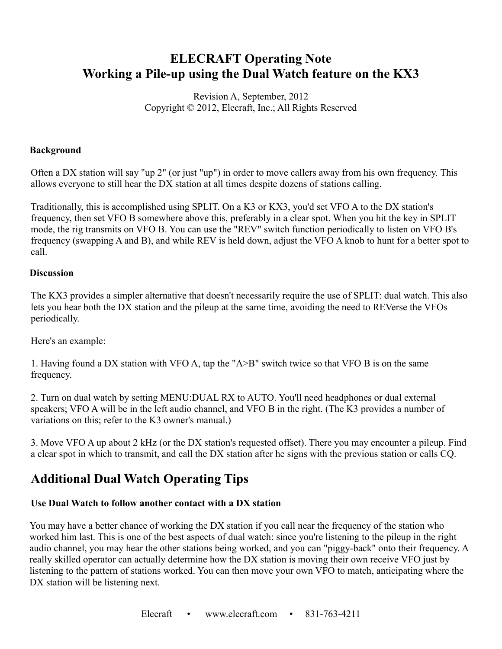# **ELECRAFT Operating Note Working a Pile-up using the Dual Watch feature on the KX3**

Revision A, September, 2012 Copyright © 2012, Elecraft, Inc.; All Rights Reserved

### **Background**

Often a DX station will say "up 2" (or just "up") in order to move callers away from his own frequency. This allows everyone to still hear the DX station at all times despite dozens of stations calling.

Traditionally, this is accomplished using SPLIT. On a K3 or KX3, you'd set VFO A to the DX station's frequency, then set VFO B somewhere above this, preferably in a clear spot. When you hit the key in SPLIT mode, the rig transmits on VFO B. You can use the "REV" switch function periodically to listen on VFO B's frequency (swapping A and B), and while REV is held down, adjust the VFO A knob to hunt for a better spot to call.

#### **Discussion**

The KX3 provides a simpler alternative that doesn't necessarily require the use of SPLIT: dual watch. This also lets you hear both the DX station and the pileup at the same time, avoiding the need to REVerse the VFOs periodically.

Here's an example:

1. Having found a DX station with VFO A, tap the "A>B" switch twice so that VFO B is on the same frequency.

2. Turn on dual watch by setting MENU:DUAL RX to AUTO. You'll need headphones or dual external speakers; VFO A will be in the left audio channel, and VFO B in the right. (The K3 provides a number of variations on this; refer to the K3 owner's manual.)

3. Move VFO A up about 2 kHz (or the DX station's requested offset). There you may encounter a pileup. Find a clear spot in which to transmit, and call the DX station after he signs with the previous station or calls CQ.

# **Additional Dual Watch Operating Tips**

# **Use Dual Watch to follow another contact with a DX station**

You may have a better chance of working the DX station if you call near the frequency of the station who worked him last. This is one of the best aspects of dual watch: since you're listening to the pileup in the right audio channel, you may hear the other stations being worked, and you can "piggy-back" onto their frequency. A really skilled operator can actually determine how the DX station is moving their own receive VFO just by listening to the pattern of stations worked. You can then move your own VFO to match, anticipating where the DX station will be listening next.